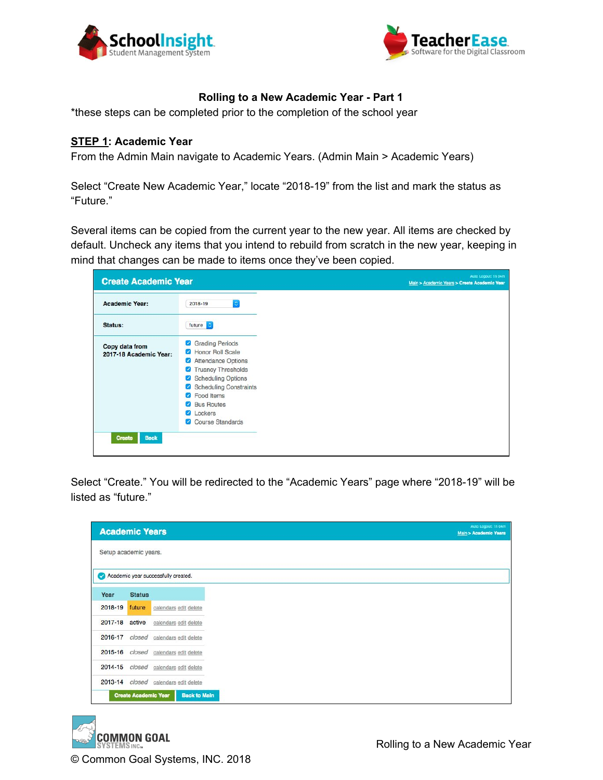



# **Rolling to a New Academic Year - Part 1**

\*these steps can be completed prior to the completion of the school year

### **STEP 1: Academic Year**

From the Admin Main navigate to Academic Years. (Admin Main > Academic Years)

Select "Create New Academic Year," locate "2018-19" from the list and mark the status as "Future."

Several items can be copied from the current year to the new year. All items are checked by default. Uncheck any items that you intend to rebuild from scratch in the new year, keeping in mind that changes can be made to items once they've been copied.

| <b>Academic Year:</b>  | 2018-19<br>¢                                                                                                                                    |
|------------------------|-------------------------------------------------------------------------------------------------------------------------------------------------|
| Status:                | future c                                                                                                                                        |
| Copy data from         | <b>Grading Periods</b><br>☑                                                                                                                     |
| 2017-18 Academic Year: |                                                                                                                                                 |
|                        |                                                                                                                                                 |
|                        |                                                                                                                                                 |
|                        |                                                                                                                                                 |
|                        | Honor Roll Scale<br><b>Attendance Options</b><br>☑<br>Truancy Thresholds<br>Scheduling Options<br>Scheduling Constraints<br><b>C</b> Food Items |
|                        | <b>Bus Routes</b><br>$\mathcal{L}$                                                                                                              |
|                        | Lockers                                                                                                                                         |
|                        | Course Standards                                                                                                                                |

Select "Create." You will be redirected to the "Academic Years" page where "2018-19" will be listed as "future."

| <b>Academic Years</b> |               |                                     |
|-----------------------|---------------|-------------------------------------|
| Setup academic years. |               |                                     |
|                       |               | Academic year successfully created. |
| Year                  | <b>Status</b> |                                     |
| 2018-19               | future        | calendars edit delete               |
| 2017-18               | active        | calendars edit delete               |
| 2016-17               | closed        | calendars edit delete               |
| 2015-16               | closed        | calendars edit delete               |
| 2014-15               | closed        | calendars edit delete               |
| 2013-14               | closed        | calendars edit delete               |

**COMMON GOAL** © Common Goal Systems, INC. 2018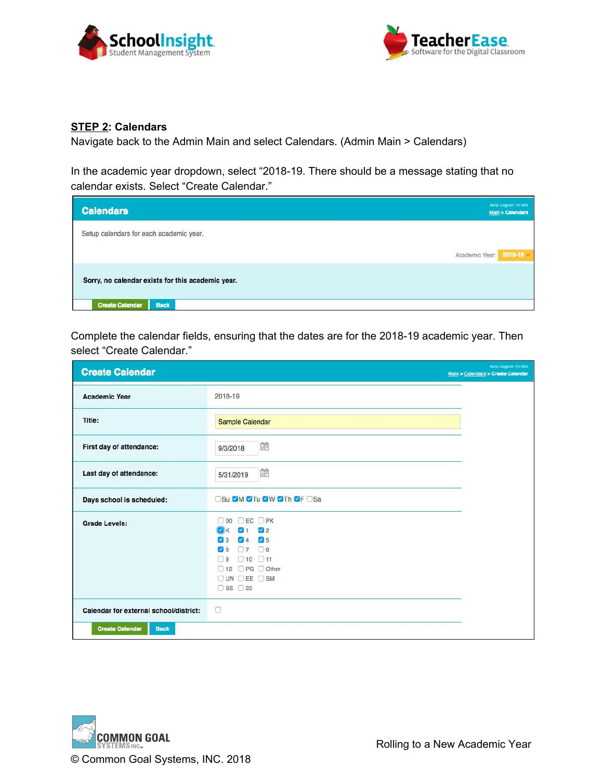



### **STEP 2: Calendars**

Navigate back to the Admin Main and select Calendars. (Admin Main > Calendars)

In the academic year dropdown, select "2018-19. There should be a message stating that no calendar exists. Select "Create Calendar."

| <b>Calendars</b>                                  | Auto Logout: 1h 05m<br>Main > Calendars |
|---------------------------------------------------|-----------------------------------------|
| Setup calendars for each academic year.           |                                         |
|                                                   | $2018 - 19$<br>Academic Year:           |
| Sorry, no calendar exists for this academic year. |                                         |
| <b>Create Calendar</b><br><b>Back</b>             |                                         |

Complete the calendar fields, ensuring that the dates are for the 2018-19 academic year. Then select "Create Calendar."

| <b>Create Calendar</b>                 |                                                                                                                                                                                                                | Auto Logout: 1h 05m<br>Main > Calendars > Create Calendar |
|----------------------------------------|----------------------------------------------------------------------------------------------------------------------------------------------------------------------------------------------------------------|-----------------------------------------------------------|
| <b>Academic Year</b>                   | 2018-19                                                                                                                                                                                                        |                                                           |
| Title:                                 | Sample Calendar                                                                                                                                                                                                |                                                           |
| First day of attendance:               | <b>A</b><br>9/3/2018                                                                                                                                                                                           |                                                           |
| Last day of attendance:                | 節<br>5/31/2019                                                                                                                                                                                                 |                                                           |
| Days school is scheduled:              | <b>OSu ØM ØTu ØW ØTh ØF OSa</b>                                                                                                                                                                                |                                                           |
| <b>Grade Levels:</b>                   | $CEC$ $PK$<br>$\Box$ 00<br>$1 \quad 2$<br><b>D</b> <sub>K</sub><br>$\sqrt{4}$ $\sqrt{5}$<br>$\sqrt{3}$<br>7708<br>$\sqrt{6}$<br>$\Box$ 10 $\Box$ 11<br>$\Box$<br>□ 12 □ PG □ Other<br>OUN DEE OSM<br>□ SS □ 22 |                                                           |
| Calendar for external school/district: | €                                                                                                                                                                                                              |                                                           |
| <b>Create Calendar</b><br><b>Back</b>  |                                                                                                                                                                                                                |                                                           |

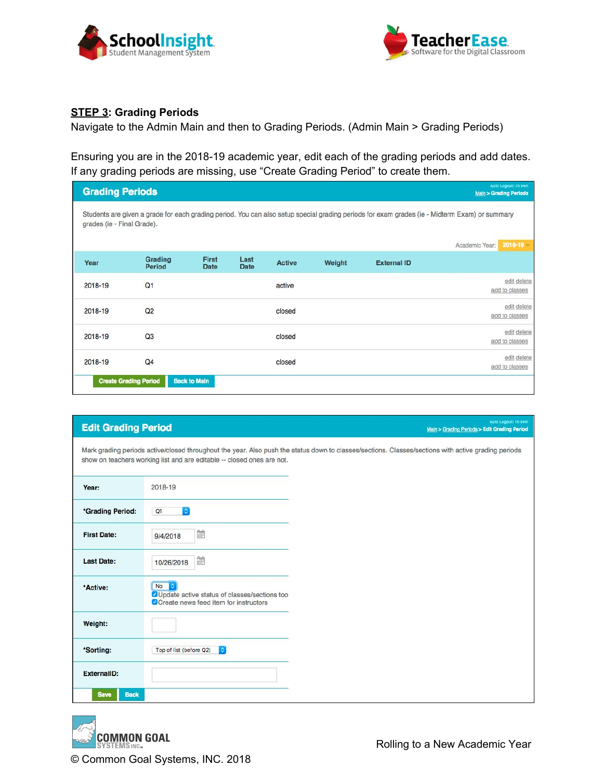



# **STEP 3: Grading Periods**

Navigate to the Admin Main and then to Grading Periods. (Admin Main > Grading Periods)

Ensuring you are in the 2018-19 academic year, edit each of the grading periods and add dates. If any grading periods are missing, use "Create Grading Period" to create them.

| <b>Grading Periods</b>     |                              |                             |                     |               |        |                    | Auto Logout: 1h 04m<br><b>Main &gt; Grading Periods</b>                                                                                       |
|----------------------------|------------------------------|-----------------------------|---------------------|---------------|--------|--------------------|-----------------------------------------------------------------------------------------------------------------------------------------------|
| grades (ie - Final Grade). |                              |                             |                     |               |        |                    | Students are given a grade for each grading period. You can also setup special grading periods for exam grades (ie - Midterm Exam) or summary |
|                            |                              |                             |                     |               |        |                    | $2018 - 19$<br>Academic Year:                                                                                                                 |
| Year                       | Grading<br><b>Period</b>     | <b>First</b><br><b>Date</b> | Last<br><b>Date</b> | <b>Active</b> | Weight | <b>External ID</b> |                                                                                                                                               |
| 2018-19                    | Q <sub>1</sub>               |                             |                     | active        |        |                    | edit delete<br>add to classes                                                                                                                 |
| 2018-19                    | Q <sub>2</sub>               |                             |                     | closed        |        |                    | edit delete<br>add to classes                                                                                                                 |
| 2018-19                    | Q <sub>3</sub>               |                             |                     | closed        |        |                    | edit delete<br>add to classes                                                                                                                 |
| 2018-19                    | Q <sub>4</sub>               |                             |                     | closed        |        |                    | edit delete<br>add to classes                                                                                                                 |
|                            | <b>Create Grading Period</b> | <b>Back to Main</b>         |                     |               |        |                    |                                                                                                                                               |

| <b>Edit Grading Period</b> | Auto Logout: 1h 04m<br>Main > Grading Periods > Edit Grading Period                                                                                                                                                           |
|----------------------------|-------------------------------------------------------------------------------------------------------------------------------------------------------------------------------------------------------------------------------|
|                            | Mark grading periods active/closed throughout the year. Also push the status down to classes/sections. Classes/sections with active grading periods<br>show on teachers working list and are editable -- closed ones are not. |
| Year:                      | 2018-19                                                                                                                                                                                                                       |
| *Grading Period:           | $ \hat{\bm{z}} $<br>Q <sub>1</sub>                                                                                                                                                                                            |
| <b>First Date:</b>         | 讍<br>9/4/2018                                                                                                                                                                                                                 |
| <b>Last Date:</b>          | ÊΨ<br>10/26/2018                                                                                                                                                                                                              |
| *Active:                   | No<br>¢<br>OUpdate active status of classes/sections too<br>O Create news feed item for instructors                                                                                                                           |
| Weight:                    |                                                                                                                                                                                                                               |
| *Sorting:                  | $\hat{\mathbf{c}}$<br>Top of list (before Q2)                                                                                                                                                                                 |
| ExternalID:                |                                                                                                                                                                                                                               |
| <b>Save</b><br><b>Back</b> |                                                                                                                                                                                                                               |

**COMMON GOAL** © Common Goal Systems, INC. 2018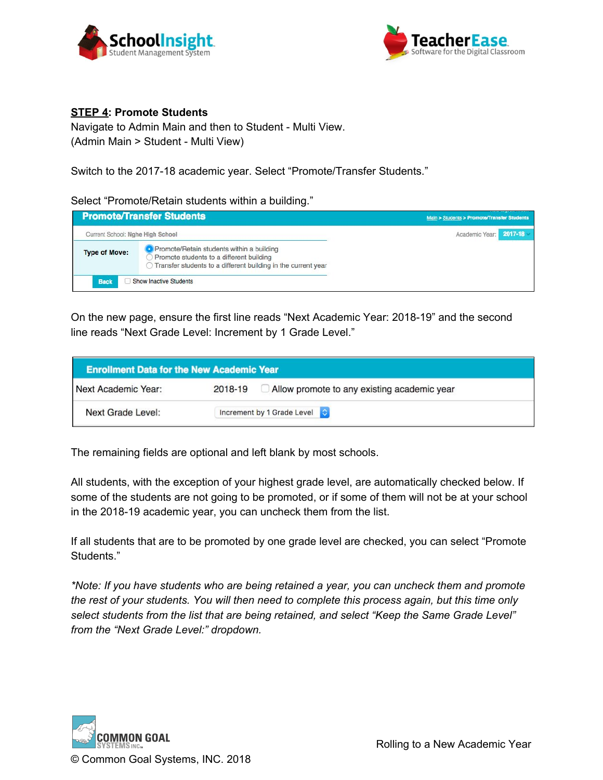



## **STEP 4: Promote Students**

Navigate to Admin Main and then to Student - Multi View. (Admin Main > Student - Multi View)

Switch to the 2017-18 academic year. Select "Promote/Transfer Students."

#### Select "Promote/Retain students within a building."

|                                     | <b>Promote/Transfer Students</b>                                                                                                                                                                 | Main > Students > Promote/Transfer Students |  |  |
|-------------------------------------|--------------------------------------------------------------------------------------------------------------------------------------------------------------------------------------------------|---------------------------------------------|--|--|
| Current School: Nghe High School    |                                                                                                                                                                                                  | 2017-18<br>Academic Year:                   |  |  |
| <b>Type of Move:</b><br><b>Back</b> | <b>O</b> Promote/Retain students within a building<br>Promote students to a different building<br>Transfer students to a different building in the current year<br><b>Show Inactive Students</b> |                                             |  |  |

On the new page, ensure the first line reads "Next Academic Year: 2018-19" and the second line reads "Next Grade Level: Increment by 1 Grade Level."

| <b>Enrollment Data for the New Academic Year</b> |                                                        |
|--------------------------------------------------|--------------------------------------------------------|
| Next Academic Year:                              | Allow promote to any existing academic year<br>2018-19 |
| Next Grade Level:                                | Increment by 1 Grade Level ↓                           |

The remaining fields are optional and left blank by most schools.

All students, with the exception of your highest grade level, are automatically checked below. If some of the students are not going to be promoted, or if some of them will not be at your school in the 2018-19 academic year, you can uncheck them from the list.

If all students that are to be promoted by one grade level are checked, you can select "Promote Students."

*\*Note: If you have students who are being retained a year, you can uncheck them and promote the rest of your students. You will then need to complete this process again, but this time only select students from the list that are being retained, and select "Keep the Same Grade Level" from the "Next Grade Level:" dropdown.*

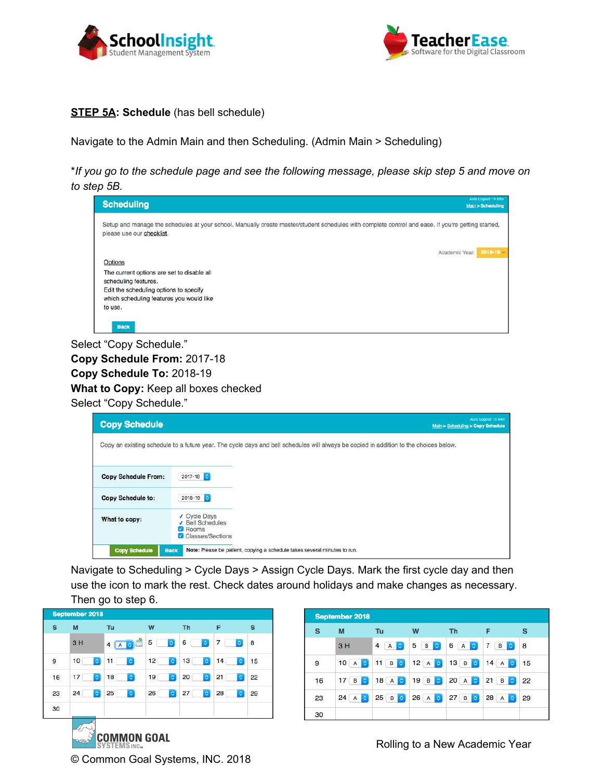



## **STEP 5A: Schedule** (has bell schedule)

Navigate to the Admin Main and then Scheduling. (Admin Main > Scheduling)

\*If you go to the schedule page and see the following message, please skip step 5 and move on *to step 5B.*

| <b>Scheduling</b>                                                                                                                                                               |                | Auto Logout: 1h 05m<br>Main > Scheduling |
|---------------------------------------------------------------------------------------------------------------------------------------------------------------------------------|----------------|------------------------------------------|
| Setup and manage the schedules at your school. Manually create master/student schedules with complete control and ease. If you're getting started,<br>please use our checklist. |                |                                          |
| Options                                                                                                                                                                         | Academic Year: | $2018 - 19$ $\sim$                       |
| The current options are set to disable all<br>scheduling features.<br>Edit the scheduling options to specify<br>which scheduling features you would like                        |                |                                          |
| to use.<br><b>Back</b>                                                                                                                                                          |                |                                          |

Select "Copy Schedule." **Copy Schedule From:** 2017-18 **Copy Schedule To:** 2018-19 **What to Copy:** Keep all boxes checked Select "Copy Schedule."

| <b>Copy Schedule</b>       |                                                                      | Auto Logout: 1h 04m<br>Main > Scheduling > Copy Schedule                                                                              |  |
|----------------------------|----------------------------------------------------------------------|---------------------------------------------------------------------------------------------------------------------------------------|--|
|                            |                                                                      | Copy an existing schedule to a future year. The cycle days and bell schedules will always be copied in addition to the choices below. |  |
| <b>Copy Schedule From:</b> | 2017-18                                                              |                                                                                                                                       |  |
| Copy Schedule to:          | $2018 - 19$ $\circ$                                                  |                                                                                                                                       |  |
| What to copy:              | ✔ Cycle Days<br>√ Bell Schedules<br><b>Rooms</b><br>Classes/Sections |                                                                                                                                       |  |
| <b>Copy Schedule</b>       | <b>Back</b>                                                          | Note: Please be patient, copying a schedule takes several minutes to run.                                                             |  |

Navigate to Scheduling > Cycle Days > Assign Cycle Days. Mark the first cycle day and then use the icon to mark the rest. Check dates around holidays and make changes as necessary. Then go to step 6.

| s  | M<br>3H              | Tu<br>4 <sup>1</sup><br>$\ddot{\circ}$<br>A | W<br>5<br>¢      | <b>Th</b><br>6<br>$\ddot{\circ}$ | F<br>7<br>¢          | s<br>8 |
|----|----------------------|---------------------------------------------|------------------|----------------------------------|----------------------|--------|
| 9  | 10<br>$\Diamond$     | 11<br>¢                                     | 12<br>$\Diamond$ | 13<br>$\Diamond$                 | 14<br>$\ddot{\circ}$ | 15     |
| 16 | 17<br>$\ddot{\circ}$ | $\hat{\mathbb{C}}$<br>18                    | 19<br>$\Diamond$ | 20<br>$\ddot{\circ}$             | 21<br>$\ddot{\circ}$ | 22     |
| 23 | 24<br>$\ddot{\circ}$ | 25<br>$\Diamond$                            | 26<br>$\Diamond$ | 27<br>$\ddot{\circ}$             | 28<br>¢              | 29     |
| 30 |                      |                                             |                  |                                  |                      |        |

© Common Goal Systems, INC. 2018

| $\mathbf{s}$ | M                    | Tu                    | W                              | <b>Th</b>           | F                                     | s  |
|--------------|----------------------|-----------------------|--------------------------------|---------------------|---------------------------------------|----|
|              | 3H                   | 4<br>$\bullet$<br>А   | 5<br>B<br>$ \hat{\mathbf{v}} $ | 6<br>A<br>$\bullet$ | $\overline{7}$<br>B<br>$\ddot{\circ}$ | 8  |
| 9            | 10A                  | 11<br>BC              | 12A                            | 13B                 | $14 \mathsf{A}$<br><b>O</b>           | 15 |
| 16           | 17B<br>$\ddot{\sim}$ | 18A                   | 19B                            | 20 A                | 21<br>$\overline{B}$<br><b>O</b>      | 22 |
| 23           | 24 A $\circ$         | 25B<br>$\ddot{\circ}$ | $26$ A $\odot$                 | 27 B                | 28A<br><b>O</b>                       | 29 |

Rolling to a New Academic Year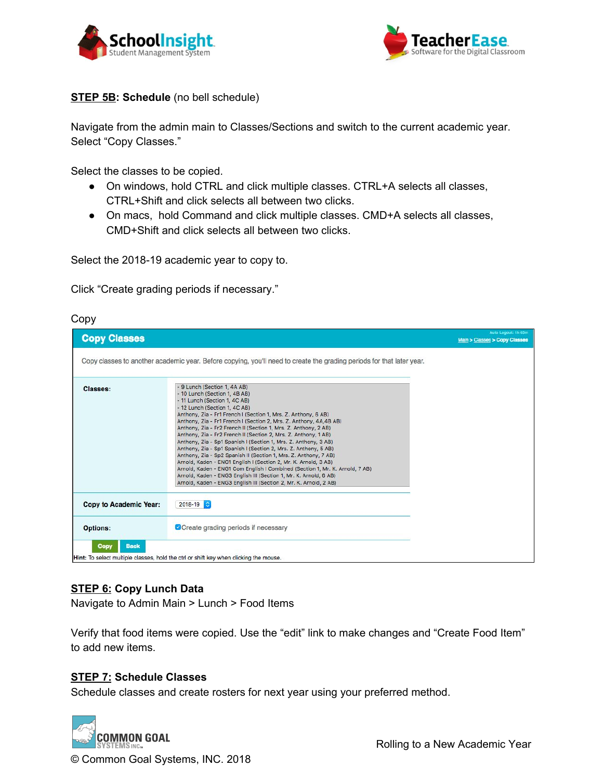



## **STEP 5B: Schedule** (no bell schedule)

Navigate from the admin main to Classes/Sections and switch to the current academic year. Select "Copy Classes."

Select the classes to be copied.

- On windows, hold CTRL and click multiple classes. CTRL+A selects all classes, CTRL+Shift and click selects all between two clicks.
- On macs, hold Command and click multiple classes. CMD+A selects all classes, CMD+Shift and click selects all between two clicks.

Select the 2018-19 academic year to copy to.

Click "Create grading periods if necessary."

### Copy

| <b>Copy Classes</b>    |                                                                                                                                                                                                                                                                                                                                                                                                                                                                                                                                                                                                                                                                                                                                                                                                                                                                                                                      | Auto Logout: 1h 05m<br>Main > Classes > Copy Classes |
|------------------------|----------------------------------------------------------------------------------------------------------------------------------------------------------------------------------------------------------------------------------------------------------------------------------------------------------------------------------------------------------------------------------------------------------------------------------------------------------------------------------------------------------------------------------------------------------------------------------------------------------------------------------------------------------------------------------------------------------------------------------------------------------------------------------------------------------------------------------------------------------------------------------------------------------------------|------------------------------------------------------|
|                        | Copy classes to another academic year. Before copying, you'll need to create the grading periods for that later year.                                                                                                                                                                                                                                                                                                                                                                                                                                                                                                                                                                                                                                                                                                                                                                                                |                                                      |
| Classes:               | - 9 Lunch (Section 1, 4A AB)<br>- 10 Lunch (Section 1, 4B AB)<br>- 11 Lunch (Section 1, 4C AB)<br>- 12 Lunch (Section 1, 4C AB)<br>Anthony, Zia - Fr1 French I (Section 1, Mrs. Z. Anthony, 6 AB)<br>Anthony, Zia - Fr1 French I (Section 2, Mrs. Z. Anthony, 4A,4B AB)<br>Anthony, Zia - Fr2 French II (Section 1, Mrs. Z. Anthony, 2 AB)<br>Anthony, Zia - Fr2 French II (Section 2, Mrs. Z. Anthony, 1 AB)<br>Anthony, Zia - Sp1 Spanish I (Section 1, Mrs. Z. Anthony, 3 AB)<br>Anthony, Zia - Sp1 Spanish I (Section 2, Mrs. Z. Anthony, 5 AB)<br>Anthony, Zia - Sp2 Spanish II (Section 1, Mrs. Z. Anthony, 7 AB)<br>Arnold, Kaden - ENG1 English I (Section 2, Mr. K. Arnold, 3 AB)<br>Arnold, Kaden - ENG1 Com English I Combined (Section 1, Mr. K. Arnold, 7 AB)<br>Arnold, Kaden - ENG3 English III (Section 1, Mr. K. Arnold, 6 AB)<br>Arnold, Kaden - ENG3 English III (Section 2, Mr. K. Arnold, 2 AB) |                                                      |
| Copy to Academic Year: | $\ddot{\circ}$<br>2018-19                                                                                                                                                                                                                                                                                                                                                                                                                                                                                                                                                                                                                                                                                                                                                                                                                                                                                            |                                                      |
| <b>Options:</b>        | O Create grading periods if necessary                                                                                                                                                                                                                                                                                                                                                                                                                                                                                                                                                                                                                                                                                                                                                                                                                                                                                |                                                      |
| <b>Back</b><br>Copy    | Hint: To select multiple classes, hold the ctrl or shift key when clicking the mouse.                                                                                                                                                                                                                                                                                                                                                                                                                                                                                                                                                                                                                                                                                                                                                                                                                                |                                                      |

## **STEP 6: Copy Lunch Data**

Navigate to Admin Main > Lunch > Food Items

Verify that food items were copied. Use the "edit" link to make changes and "Create Food Item" to add new items.

## **STEP 7: Schedule Classes**

Schedule classes and create rosters for next year using your preferred method.